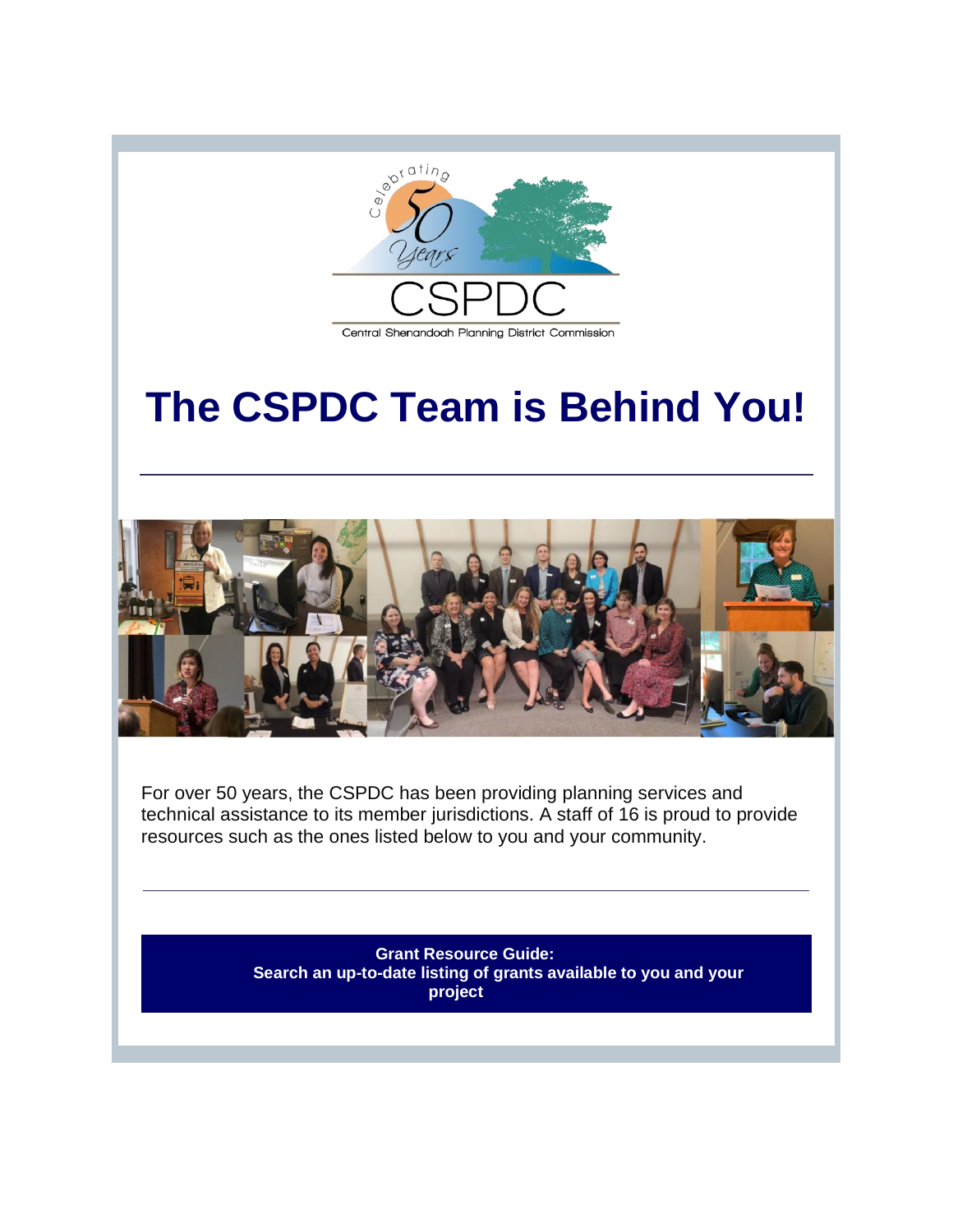

## **The CSPDC Team is Behind You!**



For over 50 years, the CSPDC has been providing planning services and technical assistance to its member jurisdictions. A staff of 16 is proud to provide resources such as the ones listed below to you and your community.

> **[Grant Resource Guide:](http://r20.rs6.net/tn.jsp?f=0016EZBSZW-aB7S9XrDr-rYskXmIwkbhV2IPhaQ3frB5V7risVEC07nkxU4n_DIkHX2aIeTg3yqZu7RVGo_R98b454HE0KLdTQFbPyAiSnHEvF_hmf-sgzE-OejUx09EW_vmcrnCES2fOWA8trQlsm9fSJwxdo6asGeEcLqN5k9iys=&c=DaJ1CkLX2UMJFMFNXGvYBnN72_LoFOdaLPZCYpDagFZu5gqazz9t7g==&ch=ye_z17aaB-tEVxwow2zBGcpFXTjQ_13n-O7Vk40Z8iozcQq0Ay7T-g==) Search an up-to-date listing of grants available to you and your project**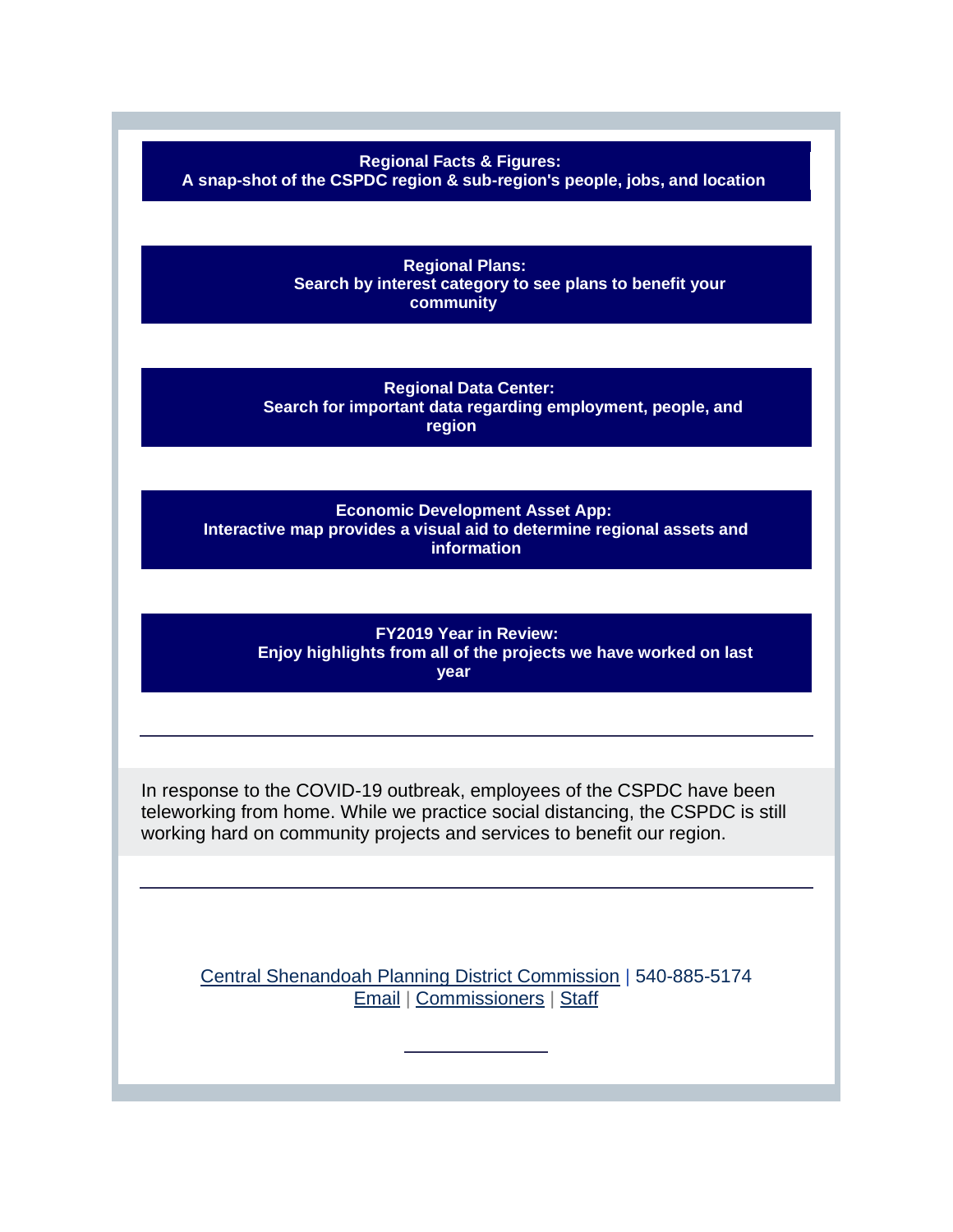**[Regional Facts & Figures:](http://r20.rs6.net/tn.jsp?f=0016EZBSZW-aB7S9XrDr-rYskXmIwkbhV2IPhaQ3frB5V7risVEC07nk-hdE1Hu7BhliX2UQZLSualmCN0a_2Z6-F9e1u6QP5W3b5cbKwxiCAnJXu_sCal4ZmL-yW3z2VSDKZQ4d-e5OLMXDjWfmFV9IbLCr5nIXWYX&c=DaJ1CkLX2UMJFMFNXGvYBnN72_LoFOdaLPZCYpDagFZu5gqazz9t7g==&ch=ye_z17aaB-tEVxwow2zBGcpFXTjQ_13n-O7Vk40Z8iozcQq0Ay7T-g==)** 

**A snap-shot of the CSPDC region & sub-region's people, jobs, and location** 

**[Regional Plans:](http://r20.rs6.net/tn.jsp?f=0016EZBSZW-aB7S9XrDr-rYskXmIwkbhV2IPhaQ3frB5V7risVEC07nk-WuE8xmLsjmF7UuqG0gcUtcCGJiLI4lLclWFeOHCI1SYLmTITgj88DLjPPGmD-6ZRPu-UVBi1gtlLQm79WDO-Dj_jVulV69-CUZy0ce2uhy&c=DaJ1CkLX2UMJFMFNXGvYBnN72_LoFOdaLPZCYpDagFZu5gqazz9t7g==&ch=ye_z17aaB-tEVxwow2zBGcpFXTjQ_13n-O7Vk40Z8iozcQq0Ay7T-g==) Search by interest category to see plans to benefit your community** 

**[Regional Data Center:](http://r20.rs6.net/tn.jsp?f=0016EZBSZW-aB7S9XrDr-rYskXmIwkbhV2IPhaQ3frB5V7risVEC07nk-WuE8xmLsjmnTrQt7BBKeYxKS8XoZfhUjRk61d6CQpQS6Ass4wkapKc-Wlz6q_jllB7KPqqWAIONHa9HxXKpE0PK8pB9rQ5n06H_laBgbO9&c=DaJ1CkLX2UMJFMFNXGvYBnN72_LoFOdaLPZCYpDagFZu5gqazz9t7g==&ch=ye_z17aaB-tEVxwow2zBGcpFXTjQ_13n-O7Vk40Z8iozcQq0Ay7T-g==) Search for important data regarding employment, people, and region**

**[Economic Development Asset App:](http://r20.rs6.net/tn.jsp?f=0016EZBSZW-aB7S9XrDr-rYskXmIwkbhV2IPhaQ3frB5V7risVEC07nk9Ui2QdjN1ML0aqzn__auO0dmy_DypidPMzKkBu97DOAqnThiaw0f1Pp78r4gyB53n_PqXZMqlhD3PIEpBHuAkv6TGAYzx_g3tXx4uc-t12j5FI780su6XSivREp8YY8Taqbvup7vbCrC3i795xa2Xv5Fh61MkatOFdcAzSEALoSJiMJvhwk_QhYK1fjzwf2Zw==&c=DaJ1CkLX2UMJFMFNXGvYBnN72_LoFOdaLPZCYpDagFZu5gqazz9t7g==&ch=ye_z17aaB-tEVxwow2zBGcpFXTjQ_13n-O7Vk40Z8iozcQq0Ay7T-g==) Interactive map provides a visual aid to determine regional assets and information**

**[FY2019 Year in Review:](http://r20.rs6.net/tn.jsp?f=0016EZBSZW-aB7S9XrDr-rYskXmIwkbhV2IPhaQ3frB5V7risVEC07nkzeEdMrx9ns138AIIxj_1zLvBgozo964hA4bZ_0gY_EMlNTipgRCHkHw2gfrMI9OY2iz-C8Imjn2wo73uWP2S8uvIeuFjOg2MzIg6uYGO_eDD6A4oTZAqNnAmfimydmcYXyFvSX8iT1ZSLwsZnSeLLyYr5_CMzyc2JuTZzJFOvnNsy1uxKNJjx0=&c=DaJ1CkLX2UMJFMFNXGvYBnN72_LoFOdaLPZCYpDagFZu5gqazz9t7g==&ch=ye_z17aaB-tEVxwow2zBGcpFXTjQ_13n-O7Vk40Z8iozcQq0Ay7T-g==)  Enjoy highlights from all of the projects we have worked on last year** 

In response to the COVID-19 outbreak, employees of the CSPDC have been teleworking from home. While we practice social distancing, the CSPDC is still working hard on community projects and services to benefit our region.

[Central Shenandoah Planning District Commission](http://r20.rs6.net/tn.jsp?f=0016EZBSZW-aB7S9XrDr-rYskXmIwkbhV2IPhaQ3frB5V7risVEC07nkwVfMzmfIDXJ1htrqSsosz8p7KnyfdnnTRvFIcLRIm6kHEkM_D8CRekmF6ZjoLff0uAflZA5_GSezCeEITse-QsTE8eeNFW6tQ==&c=DaJ1CkLX2UMJFMFNXGvYBnN72_LoFOdaLPZCYpDagFZu5gqazz9t7g==&ch=ye_z17aaB-tEVxwow2zBGcpFXTjQ_13n-O7Vk40Z8iozcQq0Ay7T-g==) | 540-885-5174 [Email](mailto:kimberly@cspdc.org) | [Commissioners](http://r20.rs6.net/tn.jsp?f=0016EZBSZW-aB7S9XrDr-rYskXmIwkbhV2IPhaQ3frB5V7risVEC07nk-hdE1Hu7BhlIt6sTGN-9erk3x9CV4XfLktpqDvCtS_kxzJ1pLpOhTY8hpOHI7oyZws6iSVz5BTLYaz0XwP2iyj3vL3xLwdCRPQZ2DnGFgRk5fVn5m_bLomrU1xrDZVr3Q==&c=DaJ1CkLX2UMJFMFNXGvYBnN72_LoFOdaLPZCYpDagFZu5gqazz9t7g==&ch=ye_z17aaB-tEVxwow2zBGcpFXTjQ_13n-O7Vk40Z8iozcQq0Ay7T-g==) | [Staff](http://r20.rs6.net/tn.jsp?f=0016EZBSZW-aB7S9XrDr-rYskXmIwkbhV2IPhaQ3frB5V7risVEC07nk-hdE1Hu7Bhl1Hzu_SZoBQWTTbcXRAkT5B23KHYIvvWwFC6DwgQlfkI1I5dDMzvCWMCEaeBM2WXPcQPZ79tfaUxjWKAWba0vJq2sHSqssBiTPXEgG6EQQgmzDlmjRXFY_FB85-SyBLPlHGLHU4HUGSqOF1lHCDI7aoRIt89KBoSbVkrqy5KFG0osRh2cuIz7usp9RYJIqxnMuGQ6WhiUPNp-4vxdcPbB3OPHyecmymUwCAC22oc2KOU=&c=DaJ1CkLX2UMJFMFNXGvYBnN72_LoFOdaLPZCYpDagFZu5gqazz9t7g==&ch=ye_z17aaB-tEVxwow2zBGcpFXTjQ_13n-O7Vk40Z8iozcQq0Ay7T-g==)